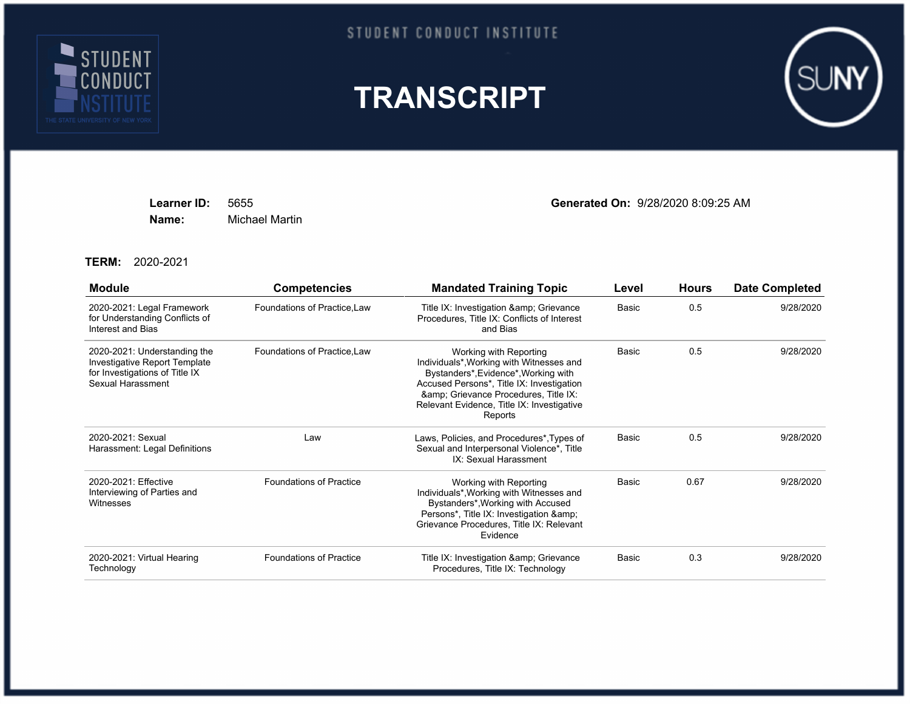

## STUDENT CONDUCT INSTITUTE





**Name:** Michael Martin

**Learner ID:** 5655 **Generated On:** 9/28/2020 8:09:25 AM

**TERM:** 2020-2021

| <b>Module</b>                                                                                                        | <b>Competencies</b>            | <b>Mandated Training Topic</b>                                                                                                                                                                                                                        | Level | <b>Hours</b> | <b>Date Completed</b> |
|----------------------------------------------------------------------------------------------------------------------|--------------------------------|-------------------------------------------------------------------------------------------------------------------------------------------------------------------------------------------------------------------------------------------------------|-------|--------------|-----------------------|
| 2020-2021: Legal Framework<br>for Understanding Conflicts of<br>Interest and Bias                                    | Foundations of Practice, Law   | Title IX: Investigation & amp; Grievance<br>Procedures, Title IX: Conflicts of Interest<br>and Bias                                                                                                                                                   | Basic | 0.5          | 9/28/2020             |
| 2020-2021: Understanding the<br>Investigative Report Template<br>for Investigations of Title IX<br>Sexual Harassment | Foundations of Practice, Law   | Working with Reporting<br>Individuals*, Working with Witnesses and<br>Bystanders*, Evidence*, Working with<br>Accused Persons*, Title IX: Investigation<br>& Grievance Procedures, Title IX:<br>Relevant Evidence, Title IX: Investigative<br>Reports | Basic | 0.5          | 9/28/2020             |
| 2020-2021: Sexual<br>Harassment: Legal Definitions                                                                   | Law                            | Laws, Policies, and Procedures*, Types of<br>Sexual and Interpersonal Violence*, Title<br>IX: Sexual Harassment                                                                                                                                       | Basic | 0.5          | 9/28/2020             |
| 2020-2021: Effective<br>Interviewing of Parties and<br>Witnesses                                                     | <b>Foundations of Practice</b> | Working with Reporting<br>Individuals*, Working with Witnesses and<br>Bystanders*, Working with Accused<br>Persons*, Title IX: Investigation &<br>Grievance Procedures, Title IX: Relevant<br>Evidence                                                | Basic | 0.67         | 9/28/2020             |
| 2020-2021: Virtual Hearing<br>Technology                                                                             | <b>Foundations of Practice</b> | Title IX: Investigation & amp; Grievance<br>Procedures, Title IX: Technology                                                                                                                                                                          | Basic | 0.3          | 9/28/2020             |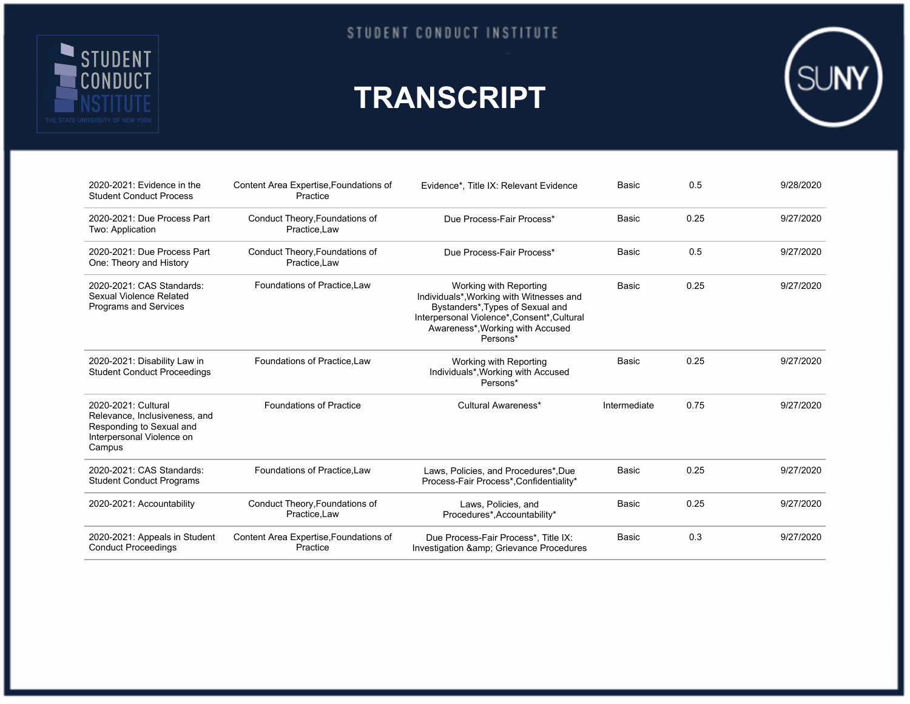

## **TRANSCRIPT**



| 2020-2021: Evidence in the<br><b>Student Conduct Process</b>                                                            | Content Area Expertise, Foundations of<br>Practice | Evidence*, Title IX: Relevant Evidence                                                                                                                                                                | <b>Basic</b> | 0.5  | 9/28/2020 |
|-------------------------------------------------------------------------------------------------------------------------|----------------------------------------------------|-------------------------------------------------------------------------------------------------------------------------------------------------------------------------------------------------------|--------------|------|-----------|
| 2020-2021: Due Process Part<br>Two: Application                                                                         | Conduct Theory, Foundations of<br>Practice, Law    | Due Process-Fair Process*                                                                                                                                                                             | Basic        | 0.25 | 9/27/2020 |
| 2020-2021: Due Process Part<br>One: Theory and History                                                                  | Conduct Theory, Foundations of<br>Practice, Law    | Due Process-Fair Process*                                                                                                                                                                             | Basic        | 0.5  | 9/27/2020 |
| 2020-2021: CAS Standards:<br>Sexual Violence Related<br>Programs and Services                                           | Foundations of Practice.Law                        | Working with Reporting<br>Individuals*, Working with Witnesses and<br>Bystanders*, Types of Sexual and<br>Interpersonal Violence*, Consent*, Cultural<br>Awareness*, Working with Accused<br>Persons* | Basic        | 0.25 | 9/27/2020 |
| 2020-2021: Disability Law in<br><b>Student Conduct Proceedings</b>                                                      | Foundations of Practice, Law                       | Working with Reporting<br>Individuals*, Working with Accused<br>Persons*                                                                                                                              | <b>Basic</b> | 0.25 | 9/27/2020 |
| 2020-2021: Cultural<br>Relevance, Inclusiveness, and<br>Responding to Sexual and<br>Interpersonal Violence on<br>Campus | <b>Foundations of Practice</b>                     | Cultural Awareness*                                                                                                                                                                                   | Intermediate | 0.75 | 9/27/2020 |
| 2020-2021: CAS Standards:<br><b>Student Conduct Programs</b>                                                            | Foundations of Practice.Law                        | Laws, Policies, and Procedures*, Due<br>Process-Fair Process*, Confidentiality*                                                                                                                       | Basic        | 0.25 | 9/27/2020 |
| 2020-2021: Accountability                                                                                               | Conduct Theory, Foundations of<br>Practice.Law     | Laws, Policies, and<br>Procedures*, Accountability*                                                                                                                                                   | Basic        | 0.25 | 9/27/2020 |
| 2020-2021: Appeals in Student<br><b>Conduct Proceedings</b>                                                             | Content Area Expertise, Foundations of<br>Practice | Due Process-Fair Process*. Title IX:<br>Investigation & Grievance Procedures                                                                                                                          | Basic        | 0.3  | 9/27/2020 |